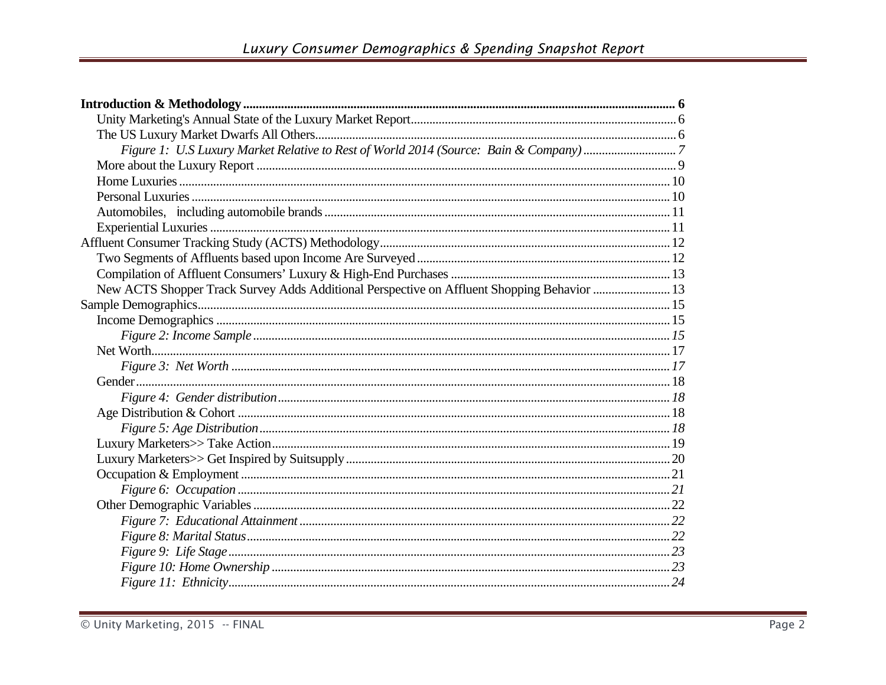| New ACTS Shopper Track Survey Adds Additional Perspective on Affluent Shopping Behavior  13 |  |
|---------------------------------------------------------------------------------------------|--|
|                                                                                             |  |
|                                                                                             |  |
|                                                                                             |  |
|                                                                                             |  |
|                                                                                             |  |
|                                                                                             |  |
|                                                                                             |  |
|                                                                                             |  |
|                                                                                             |  |
|                                                                                             |  |
|                                                                                             |  |
|                                                                                             |  |
|                                                                                             |  |
|                                                                                             |  |
|                                                                                             |  |
|                                                                                             |  |
|                                                                                             |  |
|                                                                                             |  |
|                                                                                             |  |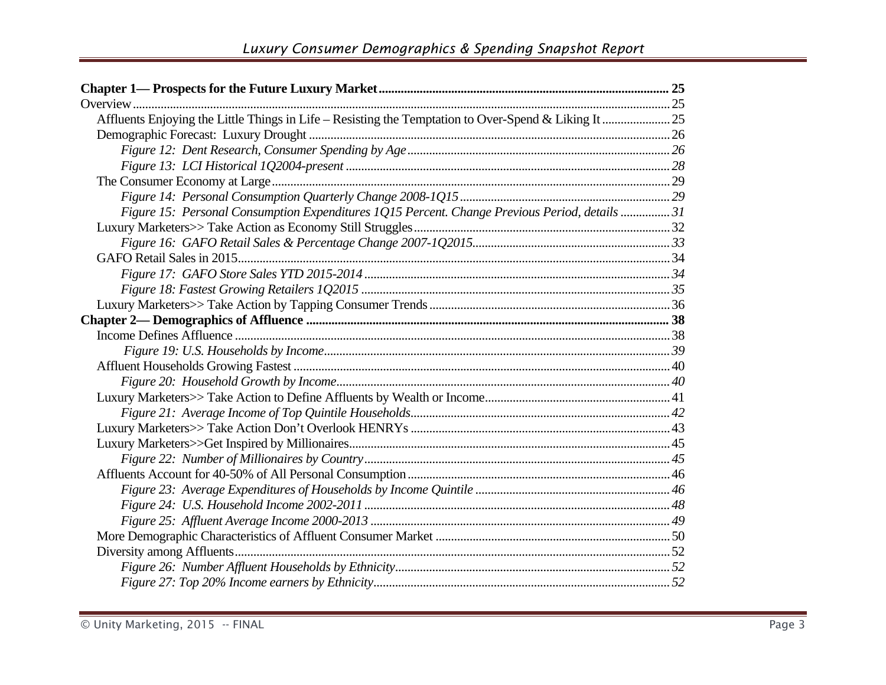| Figure 15: Personal Consumption Expenditures 1Q15 Percent. Change Previous Period, details  31 |  |
|------------------------------------------------------------------------------------------------|--|
|                                                                                                |  |
|                                                                                                |  |
|                                                                                                |  |
|                                                                                                |  |
|                                                                                                |  |
|                                                                                                |  |
|                                                                                                |  |
|                                                                                                |  |
|                                                                                                |  |
|                                                                                                |  |
|                                                                                                |  |
|                                                                                                |  |
|                                                                                                |  |
|                                                                                                |  |
|                                                                                                |  |
|                                                                                                |  |
|                                                                                                |  |
|                                                                                                |  |
|                                                                                                |  |
|                                                                                                |  |
|                                                                                                |  |
|                                                                                                |  |
|                                                                                                |  |
|                                                                                                |  |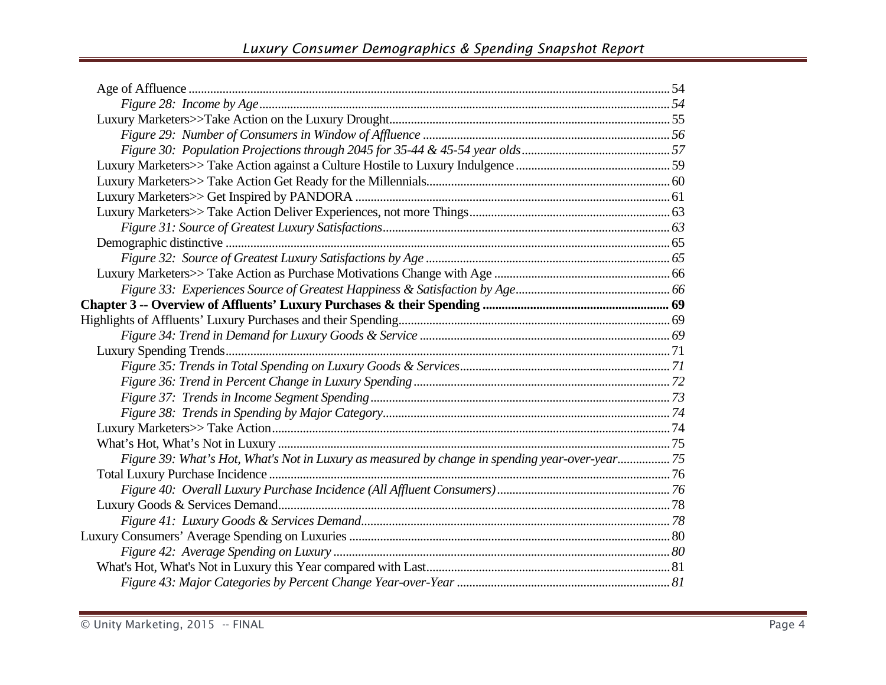| Figure 39: What's Hot, What's Not in Luxury as measured by change in spending year-over-year 75 |  |
|-------------------------------------------------------------------------------------------------|--|
|                                                                                                 |  |
|                                                                                                 |  |
|                                                                                                 |  |
|                                                                                                 |  |
|                                                                                                 |  |
|                                                                                                 |  |
|                                                                                                 |  |
|                                                                                                 |  |